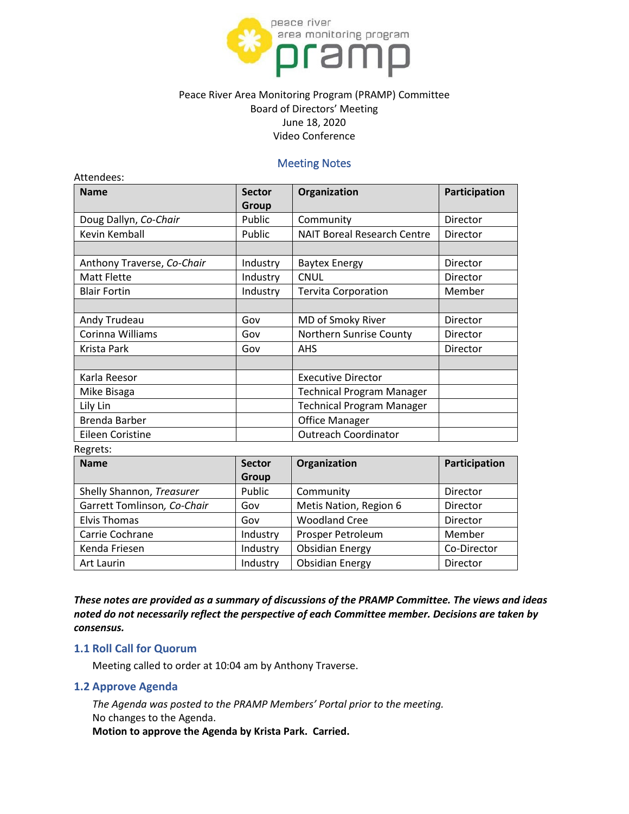

# Peace River Area Monitoring Program (PRAMP) Committee Board of Directors' Meeting June 18, 2020 Video Conference

### Meeting Notes

| <b>Name</b>                | <b>Sector</b> | Organization                       | Participation |
|----------------------------|---------------|------------------------------------|---------------|
|                            | Group         |                                    |               |
| Doug Dallyn, Co-Chair      | Public        | Community                          | Director      |
| Kevin Kemball              | Public        | <b>NAIT Boreal Research Centre</b> | Director      |
|                            |               |                                    |               |
| Anthony Traverse, Co-Chair | Industry      | <b>Baytex Energy</b>               | Director      |
| <b>Matt Flette</b>         | Industry      | <b>CNUL</b>                        | Director      |
| <b>Blair Fortin</b>        | Industry      | <b>Tervita Corporation</b>         | Member        |
|                            |               |                                    |               |
| Andy Trudeau               | Gov           | MD of Smoky River                  | Director      |
| Corinna Williams           | Gov           | Northern Sunrise County            | Director      |
| Krista Park                | Gov           | <b>AHS</b>                         | Director      |
|                            |               |                                    |               |
| Karla Reesor               |               | <b>Executive Director</b>          |               |
| Mike Bisaga                |               | <b>Technical Program Manager</b>   |               |
| Lily Lin                   |               | <b>Technical Program Manager</b>   |               |
| <b>Brenda Barber</b>       |               | <b>Office Manager</b>              |               |
| Eileen Coristine           |               | <b>Outreach Coordinator</b>        |               |

| <b>Name</b>                 | <b>Sector</b> | Organization           | Participation |
|-----------------------------|---------------|------------------------|---------------|
|                             | Group         |                        |               |
| Shelly Shannon, Treasurer   | Public        | Community              | Director      |
| Garrett Tomlinson, Co-Chair | Gov           | Metis Nation, Region 6 | Director      |
| <b>Elvis Thomas</b>         | Gov           | <b>Woodland Cree</b>   | Director      |
| Carrie Cochrane             | Industry      | Prosper Petroleum      | Member        |
| Kenda Friesen               | Industry      | <b>Obsidian Energy</b> | Co-Director   |
| Art Laurin                  | Industry      | <b>Obsidian Energy</b> | Director      |

*These notes are provided as a summary of discussions of the PRAMP Committee. The views and ideas noted do not necessarily reflect the perspective of each Committee member. Decisions are taken by consensus.*

#### **1.1 Roll Call for Quorum**

Meeting called to order at 10:04 am by Anthony Traverse.

#### **1.2 Approve Agenda**

*The Agenda was posted to the PRAMP Members' Portal prior to the meeting.* No changes to the Agenda.

**Motion to approve the Agenda by Krista Park. Carried.**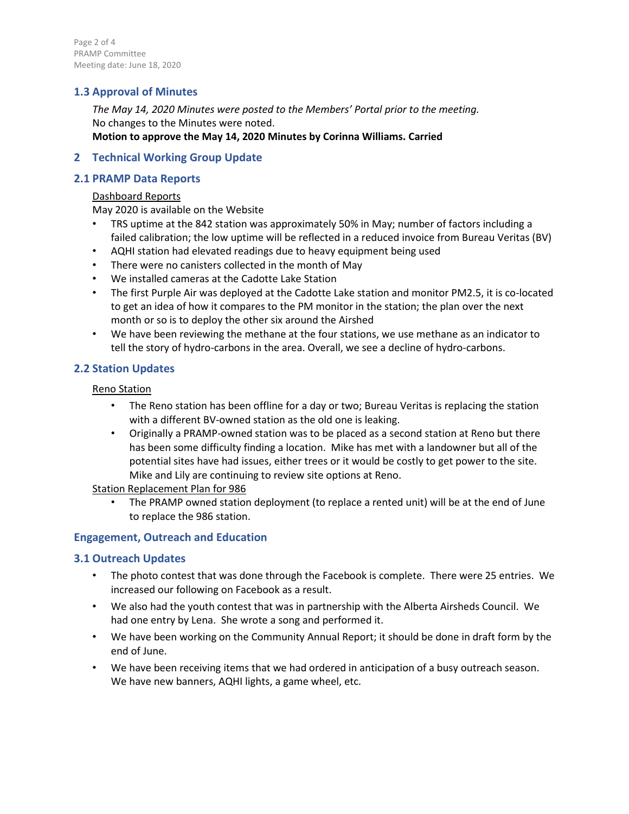Page 2 of 4 PRAMP Committee Meeting date: June 18, 2020

# **1.3 Approval of Minutes**

*The May 14, 2020 Minutes were posted to the Members' Portal prior to the meeting.* No changes to the Minutes were noted. **Motion to approve the May 14, 2020 Minutes by Corinna Williams. Carried**

### **2 Technical Working Group Update**

## **2.1 PRAMP Data Reports**

#### Dashboard Reports

May 2020 is available on the Website

- TRS uptime at the 842 station was approximately 50% in May; number of factors including a failed calibration; the low uptime will be reflected in a reduced invoice from Bureau Veritas (BV)
- AQHI station had elevated readings due to heavy equipment being used
- There were no canisters collected in the month of May
- We installed cameras at the Cadotte Lake Station
- The first Purple Air was deployed at the Cadotte Lake station and monitor PM2.5, it is co-located to get an idea of how it compares to the PM monitor in the station; the plan over the next month or so is to deploy the other six around the Airshed
- We have been reviewing the methane at the four stations, we use methane as an indicator to tell the story of hydro-carbons in the area. Overall, we see a decline of hydro-carbons.

## **2.2 Station Updates**

Reno Station

- The Reno station has been offline for a day or two; Bureau Veritas is replacing the station with a different BV-owned station as the old one is leaking.
- Originally a PRAMP-owned station was to be placed as a second station at Reno but there has been some difficulty finding a location. Mike has met with a landowner but all of the potential sites have had issues, either trees or it would be costly to get power to the site. Mike and Lily are continuing to review site options at Reno.

Station Replacement Plan for 986

• The PRAMP owned station deployment (to replace a rented unit) will be at the end of June to replace the 986 station.

# **Engagement, Outreach and Education**

### **3.1 Outreach Updates**

- The photo contest that was done through the Facebook is complete. There were 25 entries. We increased our following on Facebook as a result.
- We also had the youth contest that was in partnership with the Alberta Airsheds Council. We had one entry by Lena. She wrote a song and performed it.
- We have been working on the Community Annual Report; it should be done in draft form by the end of June.
- We have been receiving items that we had ordered in anticipation of a busy outreach season. We have new banners, AQHI lights, a game wheel, etc.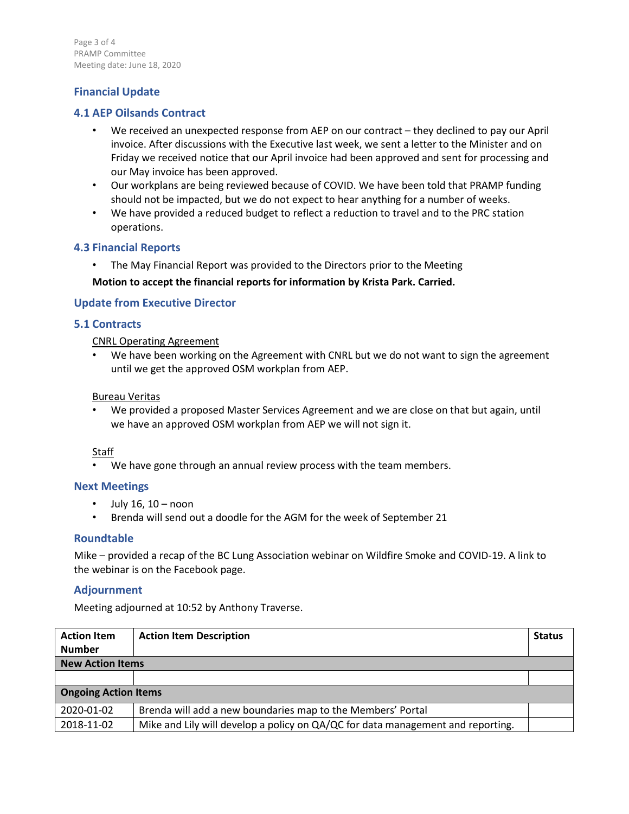Page 3 of 4 PRAMP Committee Meeting date: June 18, 2020

# **Financial Update**

## **4.1 AEP Oilsands Contract**

- We received an unexpected response from AEP on our contract they declined to pay our April invoice. After discussions with the Executive last week, we sent a letter to the Minister and on Friday we received notice that our April invoice had been approved and sent for processing and our May invoice has been approved.
- Our workplans are being reviewed because of COVID. We have been told that PRAMP funding should not be impacted, but we do not expect to hear anything for a number of weeks.
- We have provided a reduced budget to reflect a reduction to travel and to the PRC station operations.

### **4.3 Financial Reports**

The May Financial Report was provided to the Directors prior to the Meeting

### **Motion to accept the financial reports for information by Krista Park. Carried.**

### **Update from Executive Director**

### **5.1 Contracts**

CNRL Operating Agreement

We have been working on the Agreement with CNRL but we do not want to sign the agreement until we get the approved OSM workplan from AEP.

#### Bureau Veritas

• We provided a proposed Master Services Agreement and we are close on that but again, until we have an approved OSM workplan from AEP we will not sign it.

### Staff

• We have gone through an annual review process with the team members.

### **Next Meetings**

- July 16, 10 noon
- Brenda will send out a doodle for the AGM for the week of September 21

### **Roundtable**

Mike – provided a recap of the BC Lung Association webinar on Wildfire Smoke and COVID-19. A link to the webinar is on the Facebook page.

### **Adjournment**

Meeting adjourned at 10:52 by Anthony Traverse.

| <b>Action Item</b>          | <b>Action Item Description</b>                                                  | <b>Status</b> |  |  |
|-----------------------------|---------------------------------------------------------------------------------|---------------|--|--|
| <b>Number</b>               |                                                                                 |               |  |  |
| <b>New Action Items</b>     |                                                                                 |               |  |  |
|                             |                                                                                 |               |  |  |
| <b>Ongoing Action Items</b> |                                                                                 |               |  |  |
| 2020-01-02                  | Brenda will add a new boundaries map to the Members' Portal                     |               |  |  |
| 2018-11-02                  | Mike and Lily will develop a policy on QA/QC for data management and reporting. |               |  |  |